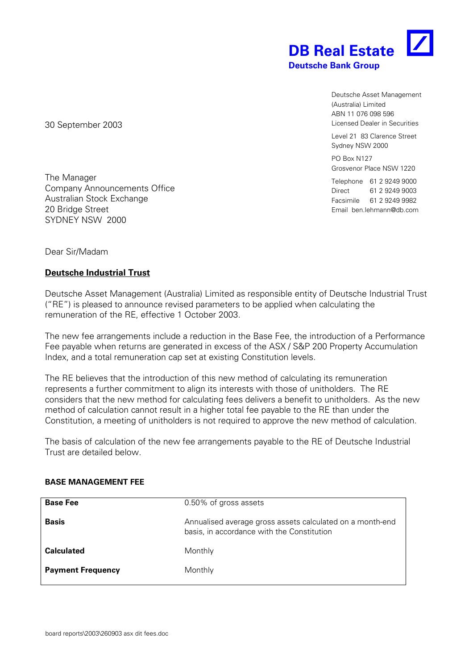

Deutsche Asset Management (Australia) Limited ABN 11 076 098 596 Licensed Dealer in Securities

Level 21 83 Clarence Street Sydney NSW 2000

PO Box N127 Grosvenor Place NSW 1220

Telephone 61 2 9249 9000 Direct 61 2 9249 9003 Facsimile 61 2 9249 9982 Email ben.lehmann@db.com

30 September 2003

The Manager Company Announcements Office Australian Stock Exchange 20 Bridge Street SYDNEY NSW 2000

Dear Sir/Madam

## **Deutsche Industrial Trust**

Deutsche Asset Management (Australia) Limited as responsible entity of Deutsche Industrial Trust ("RE") is pleased to announce revised parameters to be applied when calculating the remuneration of the RE, effective 1 October 2003.

The new fee arrangements include a reduction in the Base Fee, the introduction of a Performance Fee payable when returns are generated in excess of the ASX / S&P 200 Property Accumulation Index, and a total remuneration cap set at existing Constitution levels.

The RE believes that the introduction of this new method of calculating its remuneration represents a further commitment to align its interests with those of unitholders. The RE considers that the new method for calculating fees delivers a benefit to unitholders. As the new method of calculation cannot result in a higher total fee payable to the RE than under the Constitution, a meeting of unitholders is not required to approve the new method of calculation.

The basis of calculation of the new fee arrangements payable to the RE of Deutsche Industrial Trust are detailed below.

| <b>Base Fee</b>          | 0.50% of gross assets                                                                                   |  |  |
|--------------------------|---------------------------------------------------------------------------------------------------------|--|--|
| <b>Basis</b>             | Annualised average gross assets calculated on a month-end<br>basis, in accordance with the Constitution |  |  |
| <b>Calculated</b>        | Monthly                                                                                                 |  |  |
| <b>Payment Frequency</b> | Monthly                                                                                                 |  |  |

## **BASE MANAGEMENT FEE**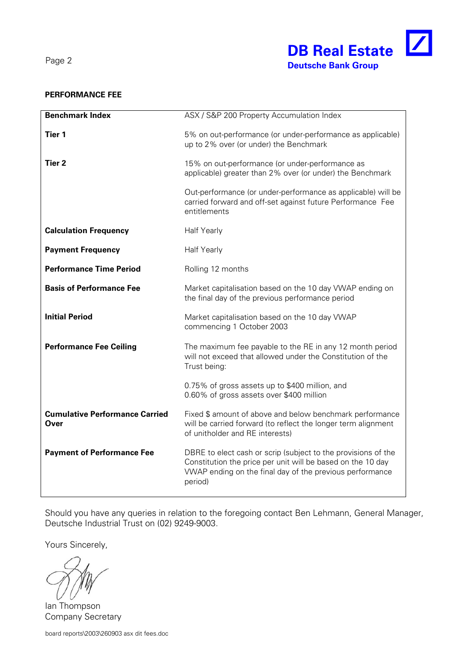Page 2



## **PERFORMANCE FEE**

| <b>Benchmark Index</b>                        | ASX / S&P 200 Property Accumulation Index                                                                                                                                                           |  |  |
|-----------------------------------------------|-----------------------------------------------------------------------------------------------------------------------------------------------------------------------------------------------------|--|--|
| Tier <sub>1</sub>                             | 5% on out-performance (or under-performance as applicable)<br>up to 2% over (or under) the Benchmark                                                                                                |  |  |
| Tier 2                                        | 15% on out-performance (or under-performance as<br>applicable) greater than 2% over (or under) the Benchmark                                                                                        |  |  |
|                                               | Out-performance (or under-performance as applicable) will be<br>carried forward and off-set against future Performance Fee<br>entitlements                                                          |  |  |
| <b>Calculation Frequency</b>                  | <b>Half Yearly</b>                                                                                                                                                                                  |  |  |
| <b>Payment Frequency</b>                      | <b>Half Yearly</b>                                                                                                                                                                                  |  |  |
| <b>Performance Time Period</b>                | Rolling 12 months                                                                                                                                                                                   |  |  |
| <b>Basis of Performance Fee</b>               | Market capitalisation based on the 10 day VWAP ending on<br>the final day of the previous performance period                                                                                        |  |  |
| <b>Initial Period</b>                         | Market capitalisation based on the 10 day VWAP<br>commencing 1 October 2003                                                                                                                         |  |  |
| <b>Performance Fee Ceiling</b>                | The maximum fee payable to the RE in any 12 month period<br>will not exceed that allowed under the Constitution of the<br>Trust being:                                                              |  |  |
|                                               | 0.75% of gross assets up to \$400 million, and<br>0.60% of gross assets over \$400 million                                                                                                          |  |  |
| <b>Cumulative Performance Carried</b><br>Over | Fixed \$ amount of above and below benchmark performance<br>will be carried forward (to reflect the longer term alignment<br>of unitholder and RE interests)                                        |  |  |
| <b>Payment of Performance Fee</b>             | DBRE to elect cash or scrip (subject to the provisions of the<br>Constitution the price per unit will be based on the 10 day<br>VWAP ending on the final day of the previous performance<br>period) |  |  |

Should you have any queries in relation to the foregoing contact Ben Lehmann, General Manager, Deutsche Industrial Trust on (02) 9249-9003.

Yours Sincerely,

Ian Thompson Company Secretary

board reports\2003\260903 asx dit fees.doc